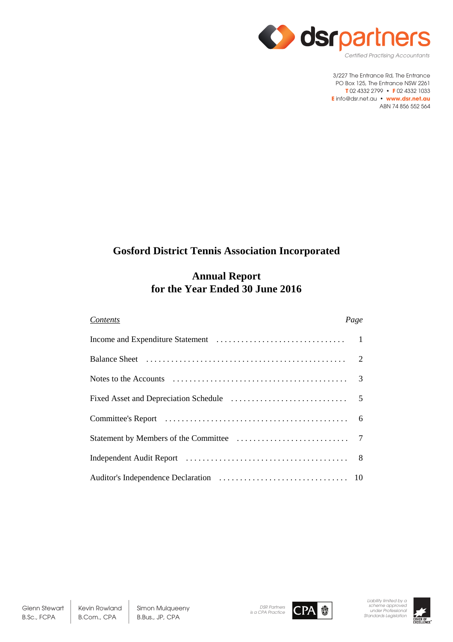

# **Gosford District Tennis Association Incorporated**

# **Annual Report for the Year Ended 30 June 2016**

| <b>Contents</b> | Page |
|-----------------|------|
|                 |      |
|                 |      |
|                 |      |
|                 |      |
|                 |      |
|                 |      |
|                 |      |
|                 |      |



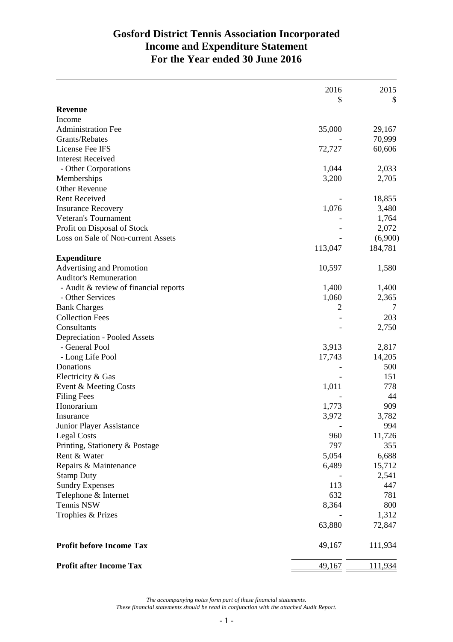# **Gosford District Tennis Association Incorporated Income and Expenditure Statement For the Year ended 30 June 2016**

|                                       | 2016           | 2015    |
|---------------------------------------|----------------|---------|
|                                       | \$             | \$      |
| <b>Revenue</b>                        |                |         |
| Income                                |                |         |
| <b>Administration Fee</b>             | 35,000         | 29,167  |
| Grants/Rebates                        |                | 70,999  |
| License Fee IFS                       | 72,727         | 60,606  |
| <b>Interest Received</b>              |                |         |
| - Other Corporations                  | 1,044          | 2,033   |
| Memberships                           | 3,200          | 2,705   |
| <b>Other Revenue</b>                  |                |         |
| <b>Rent Received</b>                  |                | 18,855  |
| <b>Insurance Recovery</b>             | 1,076          | 3,480   |
| Veteran's Tournament                  |                | 1,764   |
| Profit on Disposal of Stock           |                | 2,072   |
| Loss on Sale of Non-current Assets    |                | (6,900) |
|                                       | 113,047        | 184,781 |
| <b>Expenditure</b>                    |                |         |
| Advertising and Promotion             | 10,597         | 1,580   |
| <b>Auditor's Remuneration</b>         |                |         |
| - Audit & review of financial reports | 1,400          | 1,400   |
| - Other Services                      | 1,060          | 2,365   |
| <b>Bank Charges</b>                   | $\overline{2}$ | 7       |
| <b>Collection Fees</b>                |                | 203     |
| Consultants                           |                | 2,750   |
| Depreciation - Pooled Assets          |                |         |
| - General Pool                        | 3,913          | 2,817   |
| - Long Life Pool                      | 17,743         | 14,205  |
| Donations                             |                | 500     |
| Electricity & Gas                     |                | 151     |
| Event & Meeting Costs                 | 1,011          | 778     |
| <b>Filing Fees</b>                    |                | 44      |
| Honorarium                            | 1,773          | 909     |
| Insurance                             | 3,972          | 3,782   |
| Junior Player Assistance              |                | 994     |
| <b>Legal Costs</b>                    | 960            | 11,726  |
|                                       | 797            | 355     |
| Printing, Stationery & Postage        |                |         |
| Rent & Water                          | 5,054          | 6,688   |
| Repairs & Maintenance                 | 6,489          | 15,712  |
| <b>Stamp Duty</b>                     |                | 2,541   |
| <b>Sundry Expenses</b>                | 113            | 447     |
| Telephone & Internet                  | 632            | 781     |
| Tennis NSW                            | 8,364          | 800     |
| Trophies & Prizes                     |                | 1,312   |
|                                       | 63,880         | 72,847  |
| <b>Profit before Income Tax</b>       | 49,167         | 111,934 |
| <b>Profit after Income Tax</b>        | 49,167         | 111,934 |

*The accompanying notes form part of these financial statements.*

*These financial statements should be read in conjunction with the attached Audit Report.*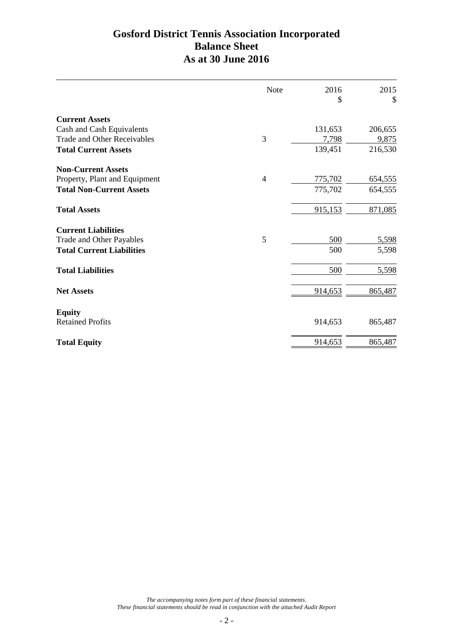# **Gosford District Tennis Association Incorporated Balance Sheet As at 30 June 2016**

|                                    | Note | 2016    | 2015    |
|------------------------------------|------|---------|---------|
|                                    |      | \$      | \$      |
| <b>Current Assets</b>              |      |         |         |
| Cash and Cash Equivalents          |      | 131,653 | 206,655 |
| <b>Trade and Other Receivables</b> | 3    | 7,798   | 9,875   |
| <b>Total Current Assets</b>        |      | 139,451 | 216,530 |
| <b>Non-Current Assets</b>          |      |         |         |
| Property, Plant and Equipment      | 4    | 775,702 | 654,555 |
| <b>Total Non-Current Assets</b>    |      | 775,702 | 654,555 |
| <b>Total Assets</b>                |      | 915,153 | 871,085 |
| <b>Current Liabilities</b>         |      |         |         |
| Trade and Other Payables           | 5    | 500     | 5,598   |
| <b>Total Current Liabilities</b>   |      | 500     | 5,598   |
| <b>Total Liabilities</b>           |      | 500     | 5,598   |
| <b>Net Assets</b>                  |      | 914,653 | 865,487 |
| <b>Equity</b>                      |      |         |         |
| <b>Retained Profits</b>            |      | 914,653 | 865,487 |
| <b>Total Equity</b>                |      | 914,653 | 865,487 |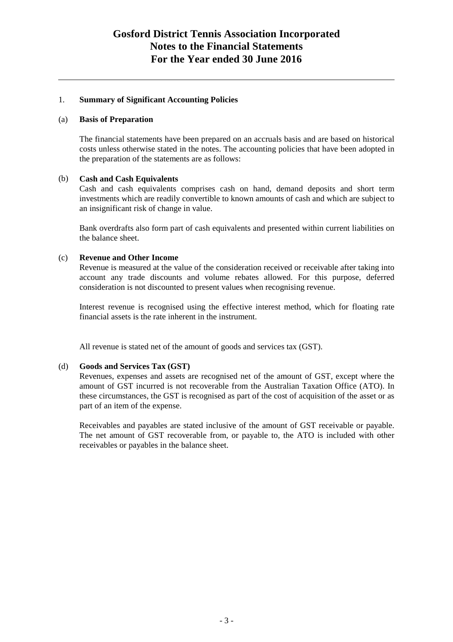## **Gosford District Tennis Association Incorporated Notes to the Financial Statements For the Year ended 30 June 2016**

## 1. **Summary of Significant Accounting Policies**

### (a) **Basis of Preparation**

The financial statements have been prepared on an accruals basis and are based on historical costs unless otherwise stated in the notes. The accounting policies that have been adopted in the preparation of the statements are as follows:

### (b) **Cash and Cash Equivalents**

Cash and cash equivalents comprises cash on hand, demand deposits and short term investments which are readily convertible to known amounts of cash and which are subject to an insignificant risk of change in value.

Bank overdrafts also form part of cash equivalents and presented within current liabilities on the balance sheet.

### (c) **Revenue and Other Income**

Revenue is measured at the value of the consideration received or receivable after taking into account any trade discounts and volume rebates allowed. For this purpose, deferred consideration is not discounted to present values when recognising revenue.

Interest revenue is recognised using the effective interest method, which for floating rate financial assets is the rate inherent in the instrument.

All revenue is stated net of the amount of goods and services tax (GST).

### (d) **Goods and Services Tax (GST)**

Revenues, expenses and assets are recognised net of the amount of GST, except where the amount of GST incurred is not recoverable from the Australian Taxation Office (ATO). In these circumstances, the GST is recognised as part of the cost of acquisition of the asset or as part of an item of the expense.

Receivables and payables are stated inclusive of the amount of GST receivable or payable. The net amount of GST recoverable from, or payable to, the ATO is included with other receivables or payables in the balance sheet.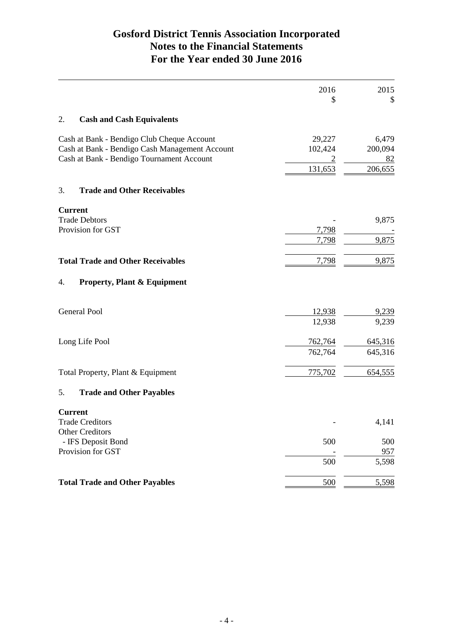# **Gosford District Tennis Association Incorporated Notes to the Financial Statements For the Year ended 30 June 2016**

|    |                                                | 2016<br>\$     | 2015<br>\$   |
|----|------------------------------------------------|----------------|--------------|
|    |                                                |                |              |
| 2. | <b>Cash and Cash Equivalents</b>               |                |              |
|    | Cash at Bank - Bendigo Club Cheque Account     | 29,227         | 6,479        |
|    | Cash at Bank - Bendigo Cash Management Account | 102,424        | 200,094      |
|    | Cash at Bank - Bendigo Tournament Account      |                | 82           |
|    |                                                | 131,653        | 206,655      |
| 3. | <b>Trade and Other Receivables</b>             |                |              |
|    | <b>Current</b>                                 |                |              |
|    | <b>Trade Debtors</b>                           |                | 9,875        |
|    | Provision for GST                              | 7,798<br>7,798 | 9,875        |
|    |                                                |                |              |
|    | <b>Total Trade and Other Receivables</b>       | 7,798          | 9,875        |
| 4. | <b>Property, Plant &amp; Equipment</b>         |                |              |
|    | <b>General Pool</b>                            | 12,938         | 9,239        |
|    |                                                | 12,938         | 9,239        |
|    | Long Life Pool                                 | 762,764        | 645,316      |
|    |                                                | 762,764        | 645,316      |
|    | Total Property, Plant & Equipment              | 775,702        | 654,555      |
| 5. | <b>Trade and Other Payables</b>                |                |              |
|    | <b>Current</b>                                 |                |              |
|    | <b>Trade Creditors</b>                         |                | 4,141        |
|    | <b>Other Creditors</b>                         |                |              |
|    | - IFS Deposit Bond                             | 500            | 500          |
|    | Provision for GST                              | 500            | 957<br>5,598 |
|    |                                                |                |              |
|    | <b>Total Trade and Other Payables</b>          | 500            | 5,598        |
|    |                                                |                |              |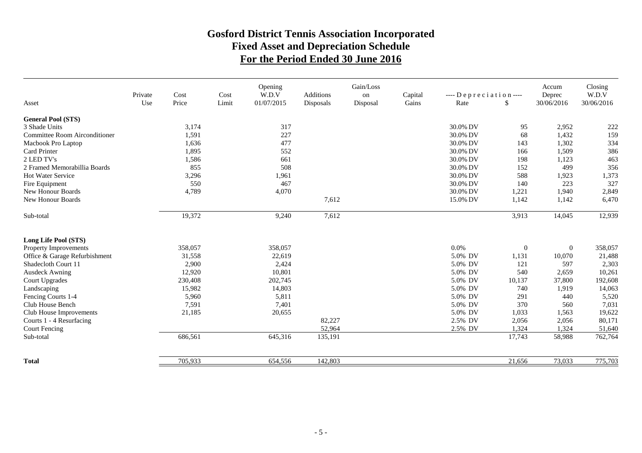## **Gosford District Tennis Association Incorporated Fixed Asset and Depreciation Schedule For the Period Ended 30 June 2016**

|                               | Private | Cost    | Cost  | Opening<br>W.D.V | Additions | Gain/Loss<br>on | Capital | $---$ Depreciation $---$ |               | Accum<br>Deprec | Closing<br>W.D.V |
|-------------------------------|---------|---------|-------|------------------|-----------|-----------------|---------|--------------------------|---------------|-----------------|------------------|
| Asset                         | Use     | Price   | Limit | 01/07/2015       | Disposals | Disposal        | Gains   | Rate                     | <sup>\$</sup> | 30/06/2016      | 30/06/2016       |
| <b>General Pool (STS)</b>     |         |         |       |                  |           |                 |         |                          |               |                 |                  |
| 3 Shade Units                 |         | 3,174   |       | 317              |           |                 |         | 30.0% DV                 | 95            | 2,952           | 222              |
| Committee Room Airconditioner |         | 1,591   |       | 227              |           |                 |         | 30.0% DV                 | 68            | 1,432           | 159              |
| Macbook Pro Laptop            |         | 1,636   |       | 477              |           |                 |         | 30.0% DV                 | 143           | 1,302           | 334              |
| Card Printer                  |         | 1,895   |       | 552              |           |                 |         | 30.0% DV                 | 166           | 1,509           | 386              |
| 2 LED TV's                    |         | 1,586   |       | 661              |           |                 |         | 30.0% DV                 | 198           | 1,123           | 463              |
| 2 Framed Memorabillia Boards  |         | 855     |       | 508              |           |                 |         | 30.0% DV                 | 152           | 499             | 356              |
| <b>Hot Water Service</b>      |         | 3,296   |       | 1,961            |           |                 |         | 30.0% DV                 | 588           | 1,923           | 1,373            |
| Fire Equipment                |         | 550     |       | 467              |           |                 |         | 30.0% DV                 | 140           | 223             | 327              |
| New Honour Boards             |         | 4,789   |       | 4,070            |           |                 |         | 30.0% DV                 | 1,221         | 1,940           | 2,849            |
| New Honour Boards             |         |         |       |                  | 7,612     |                 |         | 15.0% DV                 | 1,142         | 1,142           | 6,470            |
| Sub-total                     |         | 19,372  |       | 9,240            | 7,612     |                 |         |                          | 3,913         | 14,045          | 12,939           |
| Long Life Pool (STS)          |         |         |       |                  |           |                 |         |                          |               |                 |                  |
| Property Improvements         |         | 358,057 |       | 358,057          |           |                 |         | 0.0%                     | $\mathbf{0}$  | $\mathbf{0}$    | 358,057          |
| Office & Garage Refurbishment |         | 31,558  |       | 22,619           |           |                 |         | 5.0% DV                  | 1,131         | 10,070          | 21,488           |
| Shadecloth Court 11           |         | 2,900   |       | 2,424            |           |                 |         | 5.0% DV                  | 121           | 597             | 2,303            |
| <b>Ausdeck Awning</b>         |         | 12,920  |       | 10,801           |           |                 |         | 5.0% DV                  | 540           | 2,659           | 10,261           |
| Court Upgrades                |         | 230,408 |       | 202,745          |           |                 |         | 5.0% DV                  | 10,137        | 37,800          | 192,608          |
| Landscaping                   |         | 15,982  |       | 14,803           |           |                 |         | 5.0% DV                  | 740           | 1,919           | 14,063           |
| Fencing Courts 1-4            |         | 5,960   |       | 5,811            |           |                 |         | 5.0% DV                  | 291           | 440             | 5,520            |
| Club House Bench              |         | 7,591   |       | 7,401            |           |                 |         | 5.0% DV                  | 370           | 560             | 7,031            |
| Club House Improvements       |         | 21,185  |       | 20,655           |           |                 |         | 5.0% DV                  | 1,033         | 1,563           | 19,622           |
| Courts 1 - 4 Resurfacing      |         |         |       |                  | 82,227    |                 |         | 2.5% DV                  | 2,056         | 2,056           | 80,171           |
| <b>Court Fencing</b>          |         |         |       |                  | 52,964    |                 |         | 2.5% DV                  | 1,324         | 1,324           | 51,640           |
| Sub-total                     |         | 686,561 |       | 645,316          | 135,191   |                 |         |                          | 17,743        | 58,988          | 762,764          |
| <b>Total</b>                  |         | 705,933 |       | 654,556          | 142,803   |                 |         |                          | 21,656        | 73,033          | 775,703          |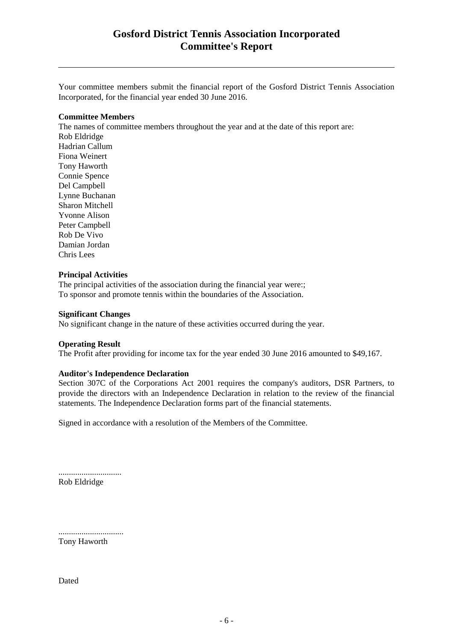## **Gosford District Tennis Association Incorporated Committee's Report**

Your committee members submit the financial report of the Gosford District Tennis Association Incorporated, for the financial year ended 30 June 2016.

#### **Committee Members**

The names of committee members throughout the year and at the date of this report are: Rob Eldridge Hadrian Callum Fiona Weinert Tony Haworth Connie Spence Del Campbell Lynne Buchanan Sharon Mitchell Yvonne Alison Peter Campbell Rob De Vivo Damian Jordan Chris Lees

#### **Principal Activities**

The principal activities of the association during the financial year were:; To sponsor and promote tennis within the boundaries of the Association.

#### **Significant Changes**

No significant change in the nature of these activities occurred during the year.

#### **Operating Result**

The Profit after providing for income tax for the year ended 30 June 2016 amounted to \$49,167.

### **Auditor's Independence Declaration**

Section 307C of the Corporations Act 2001 requires the company's auditors, DSR Partners, to provide the directors with an Independence Declaration in relation to the review of the financial statements. The Independence Declaration forms part of the financial statements.

Signed in accordance with a resolution of the Members of the Committee.

.............................. Rob Eldridge

...............................

Tony Haworth

Dated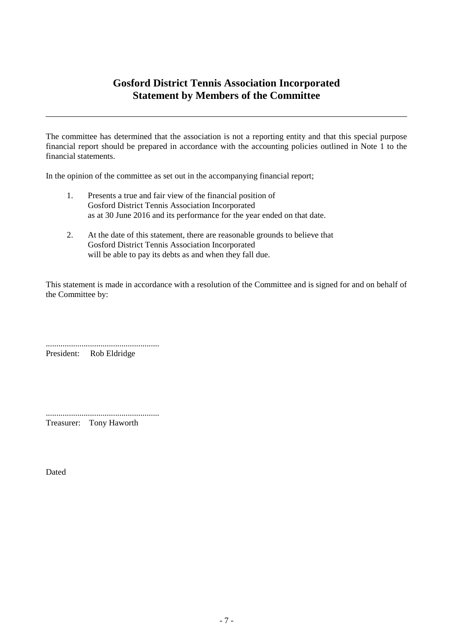## **Gosford District Tennis Association Incorporated Statement by Members of the Committee**

The committee has determined that the association is not a reporting entity and that this special purpose financial report should be prepared in accordance with the accounting policies outlined in Note 1 to the financial statements.

In the opinion of the committee as set out in the accompanying financial report;

- 1. Presents a true and fair view of the financial position of Gosford District Tennis Association Incorporated as at 30 June 2016 and its performance for the year ended on that date.
- 2. At the date of this statement, there are reasonable grounds to believe that Gosford District Tennis Association Incorporated will be able to pay its debts as and when they fall due.

This statement is made in accordance with a resolution of the Committee and is signed for and on behalf of the Committee by:

...................................................... President: Rob Eldridge

...................................................... Treasurer: Tony Haworth

Dated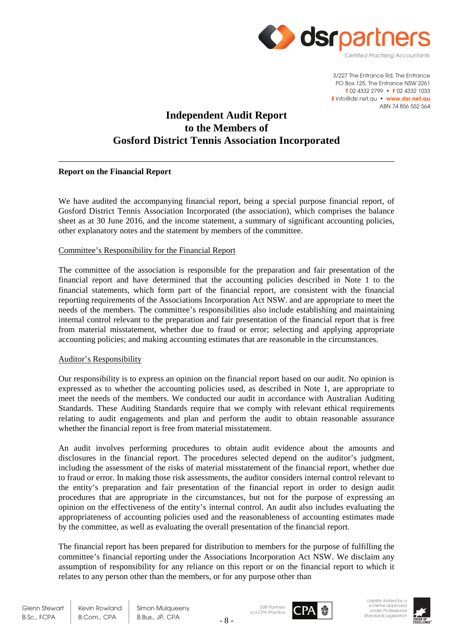

# **Independent Audit Report to the Members of Gosford District Tennis Association Incorporated**

## **Report on the Financial Report**

We have audited the accompanying financial report, being a special purpose financial report, of Gosford District Tennis Association Incorporated (the association), which comprises the balance sheet as at 30 June 2016, and the income statement, a summary of significant accounting policies, other explanatory notes and the statement by members of the committee.

## Committee's Responsibility for the Financial Report

The committee of the association is responsible for the preparation and fair presentation of the financial report and have determined that the accounting policies described in Note 1 to the financial statements, which form part of the financial report, are consistent with the financial reporting requirements of the Associations Incorporation Act NSW. and are appropriate to meet the needs of the members. The committee's responsibilities also include establishing and maintaining internal control relevant to the preparation and fair presentation of the financial report that is free from material misstatement, whether due to fraud or error; selecting and applying appropriate accounting policies; and making accounting estimates that are reasonable in the circumstances.

### Auditor's Responsibility

Our responsibility is to express an opinion on the financial report based on our audit. No opinion is expressed as to whether the accounting policies used, as described in Note 1, are appropriate to meet the needs of the members. We conducted our audit in accordance with Australian Auditing Standards. These Auditing Standards require that we comply with relevant ethical requirements relating to audit engagements and plan and perform the audit to obtain reasonable assurance whether the financial report is free from material misstatement.

An audit involves performing procedures to obtain audit evidence about the amounts and disclosures in the financial report. The procedures selected depend on the auditor's judgment, including the assessment of the risks of material misstatement of the financial report, whether due to fraud or error. In making those risk assessments, the auditor considers internal control relevant to the entity's preparation and fair presentation of the financial report in order to design audit procedures that are appropriate in the circumstances, but not for the purpose of expressing an opinion on the effectiveness of the entity's internal control. An audit also includes evaluating the appropriateness of accounting policies used and the reasonableness of accounting estimates made by the committee, as well as evaluating the overall presentation of the financial report.

The financial report has been prepared for distribution to members for the purpose of fulfilling the committee's financial reporting under the Associations Incorporation Act NSW. We disclaim any assumption of responsibility for any reliance on this report or on the financial report to which it relates to any person other than the members, or for any purpose other than

Kevin Rowland B.Com., CPA

Simon Mulqueeny B.Bus., JP, CPA





*Liability limited by a scheme approved under Professional Standards Legislation*

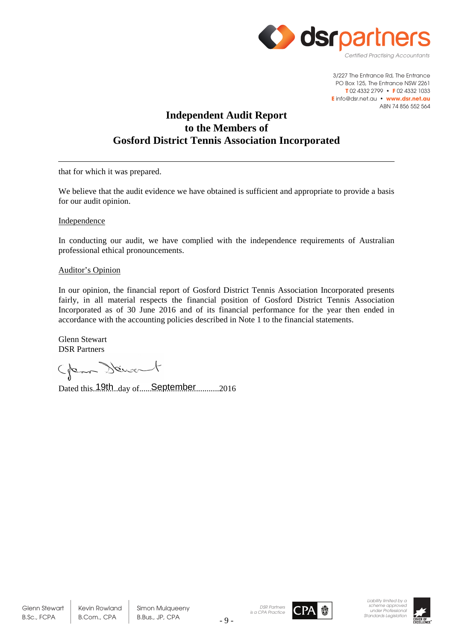

## **Independent Audit Report to the Members of Gosford District Tennis Association Incorporated**

that for which it was prepared.

We believe that the audit evidence we have obtained is sufficient and appropriate to provide a basis for our audit opinion.

Independence

In conducting our audit, we have complied with the independence requirements of Australian professional ethical pronouncements.

### Auditor's Opinion

In our opinion, the financial report of Gosford District Tennis Association Incorporated presents fairly, in all material respects the financial position of Gosford District Tennis Association Incorporated as of 30 June 2016 and of its financial performance for the year then ended in accordance with the accounting policies described in Note 1 to the financial statements.

Glenn Stewart DSR Partners

Glean Stewart

Dated this..19th..day of......September 2016